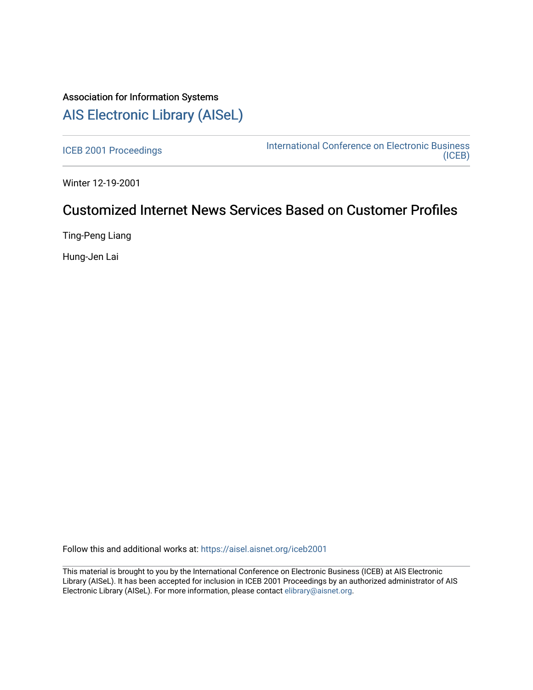# Association for Information Systems [AIS Electronic Library \(AISeL\)](https://aisel.aisnet.org/)

[ICEB 2001 Proceedings](https://aisel.aisnet.org/iceb2001) **International Conference on Electronic Business** [\(ICEB\)](https://aisel.aisnet.org/iceb) 

Winter 12-19-2001

# Customized Internet News Services Based on Customer Profiles

Ting-Peng Liang

Hung-Jen Lai

Follow this and additional works at: [https://aisel.aisnet.org/iceb2001](https://aisel.aisnet.org/iceb2001?utm_source=aisel.aisnet.org%2Ficeb2001%2F139&utm_medium=PDF&utm_campaign=PDFCoverPages)

This material is brought to you by the International Conference on Electronic Business (ICEB) at AIS Electronic Library (AISeL). It has been accepted for inclusion in ICEB 2001 Proceedings by an authorized administrator of AIS Electronic Library (AISeL). For more information, please contact [elibrary@aisnet.org.](mailto:elibrary@aisnet.org%3E)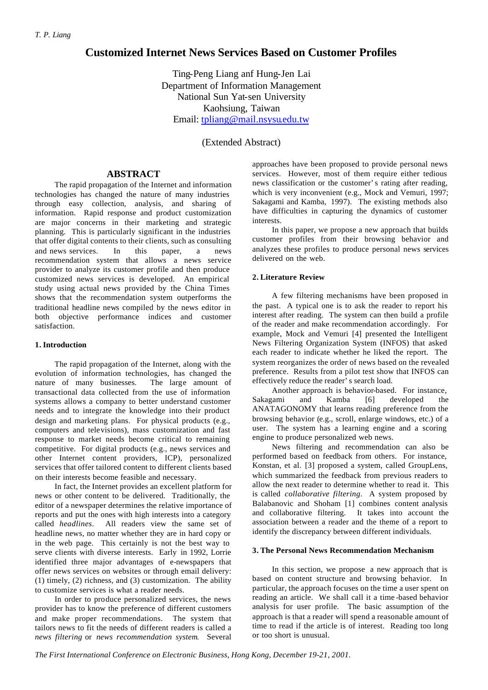# **Customized Internet News Services Based on Customer Profiles**

Ting-Peng Liang anf Hung-Jen Lai Department of Information Management National Sun Yat-sen University Kaohsiung, Taiwan Email: tpliang@mail.nsysu.edu.tw

(Extended Abstract)

# **ABSTRACT**

The rapid propagation of the Internet and information technologies has changed the nature of many industries through easy collection, analysis, and sharing of information. Rapid response and product customization are major concerns in their marketing and strategic planning. This is particularly significant in the industries that offer digital contents to their clients, such as consulting and news services. In this paper, a news recommendation system that allows a news service provider to analyze its customer profile and then produce customized news services is developed. An empirical study using actual news provided by the China Times shows that the recommendation system outperforms the traditional headline news compiled by the news editor in both objective performance indices and customer satisfaction.

#### **1. Introduction**

The rapid propagation of the Internet, along with the evolution of information technologies, has changed the nature of many businesses. The large amount of transactional data collected from the use of information systems allows a company to better understand customer needs and to integrate the knowledge into their product design and marketing plans. For physical products (e.g., computers and televisions), mass customization and fast response to market needs become critical to remaining competitive. For digital products (e.g., news services and other Internet content providers, ICP), personalized services that offer tailored content to different clients based on their interests become feasible and necessary.

In fact, the Internet provides an excellent platform for news or other content to be delivered. Traditionally, the editor of a newspaper determines the relative importance of reports and put the ones with high interests into a category called *headlines*. All readers view the same set of headline news, no matter whether they are in hard copy or in the web page. This certainly is not the best way to serve clients with diverse interests. Early in 1992, Lorrie identified three major advantages of e-newspapers that offer news services on websites or through email delivery: (1) timely, (2) richness, and (3) customization. The ability to customize services is what a reader needs.

In order to produce personalized services, the news provider has to know the preference of different customers and make proper recommendations. The system that tailors news to fit the needs of different readers is called a *news filtering* or *news recommendation system*. Several approaches have been proposed to provide personal news services. However, most of them require either tedious news classification or the customer's rating after reading, which is very inconvenient (e.g., Mock and Vemuri, 1997; Sakagami and Kamba, 1997). The existing methods also have difficulties in capturing the dynamics of customer interests.

In this paper, we propose a new approach that builds customer profiles from their browsing behavior and analyzes these profiles to produce personal news services delivered on the web.

# **2. Literature Review**

A few filtering mechanisms have been proposed in the past. A typical one is to ask the reader to report his interest after reading. The system can then build a profile of the reader and make recommendation accordingly. For example, Mock and Vemuri [4] presented the Intelligent News Filtering Organization System (INFOS) that asked each reader to indicate whether he liked the report. The system reorganizes the order of news based on the revealed preference. Results from a pilot test show that INFOS can effectively reduce the reader's search load.

Another approach is behavior-based. For instance, Sakagami and Kamba [6] developed the ANATAGONOMY that learns reading preference from the browsing behavior (e.g., scroll, enlarge windows, etc.) of a user. The system has a learning engine and a scoring engine to produce personalized web news.

News filtering and recommendation can also be performed based on feedback from others. For instance, Konstan, et al. [3] proposed a system, called GroupLens, which summarized the feedback from previous readers to allow the next reader to determine whether to read it. This is called *collaborative filtering*. A system proposed by Balabanovic and Shoham [1] combines content analysis and collaborative filtering. It takes into account the association between a reader and the theme of a report to identify the discrepancy between different individuals.

#### **3. The Personal News Recommendation Mechanism**

In this section, we propose a new approach that is based on content structure and browsing behavior. In particular, the approach focuses on the time a user spent on reading an article. We shall call it a time -based behavior analysis for user profile. The basic assumption of the approach is that a reader will spend a reasonable amount of time to read if the article is of interest. Reading too long or too short is unusual.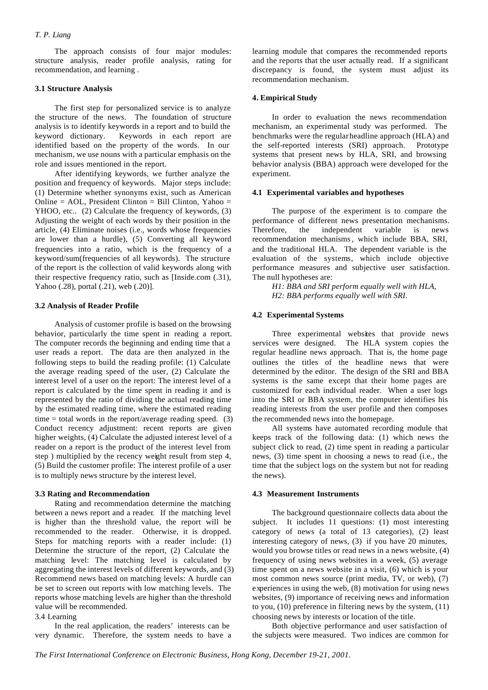# *T. P. Liang*

The approach consists of four major modules: structure analysis, reader profile analysis, rating for recommendation, and learning .

#### **3.1 Structure Analysis**

The first step for personalized service is to analyze the structure of the news. The foundation of structure analysis is to identify keywords in a report and to build the keyword dictionary. Keywords in each report are identified based on the property of the words. In our mechanism, we use nouns with a particular emphasis on the role and issues mentioned in the report.

After identifying keywords, we further analyze the position and frequency of keywords. Major steps include: (1) Determine whether synonyms exist, such as American Online =  $AOL$ , President Clinton = Bill Clinton, Yahoo = YHOO, etc.. (2) Calculate the frequency of keywords, (3) Adjusting the weight of each words by their position in the article, (4) Eliminate noises (i.e., words whose frequencies are lower than a hurdle), (5) Converting all keyword frequencies into a ratio, which is the frequency of a keyword/sum(frequencies of all keywords). The structure of the report is the collection of valid keywords along with their respective frequency ratio, such as [Inside.com (.31), Yahoo (.28), portal (.21), web (.20)].

# **3.2 Analysis of Reader Profile**

Analysis of customer profile is based on the browsing behavior, particularly the time spent in reading a report. The computer records the beginning and ending time that a user reads a report. The data are then analyzed in the following steps to build the reading profile: (1) Calculate the average reading speed of the user, (2) Calculate the interest level of a user on the report: The interest level of a report is calculated by the time spent in reading it and is represented by the ratio of dividing the actual reading time by the estimated reading time, where the estimated reading time  $=$  total words in the report/average reading speed. (3) Conduct recency adjustment: recent reports are given higher weights, (4) Calculate the adjusted interest level of a reader on a report is the product of the interest level from step ) multiplied by the recency weight result from step 4, (5) Build the customer profile: The interest profile of a user is to multiply news structure by the interest level.

# **3.3 Rating and Recommendation**

Rating and recommendation determine the matching between a news report and a reader. If the matching level is higher than the threshold value, the report will be recommended to the reader. Otherwise, it is dropped. Steps for matching reports with a reader include: (1) Determine the structure of the report, (2) Calculate the matching level: The matching level is calculated by aggregating the interest levels of different keywords, and (3) Recommend news based on matching levels: A hurdle can be set to screen out reports with low matching levels. The reports whose matching levels are higher than the threshold value will be recommended.

3.4 Learning

In the real application, the readers' interests can be very dynamic. Therefore, the system needs to have a learning module that compares the recommended reports and the reports that the user actually read. If a significant discrepancy is found, the system must adjust its recommendation mechanism.

#### **4. Empirical Study**

In order to evaluation the news recommendation mechanism, an experimental study was performed. The benchmarks were the regular headline approach (HLA) and the self-reported interests (SRI) approach. Prototype systems that present news by HLA, SRI, and browsing behavior analysis (BBA) approach were developed for the experiment.

#### **4.1 Experimental variables and hypotheses**

The purpose of the experiment is to compare the performance of different news presentation mechanisms. Therefore, the independent variable is news recommendation mechanisms, which include BBA, SRI, and the traditional HLA. The dependent variable is the evaluation of the systems, which include objective performance measures and subjective user satisfaction. The null hypotheses are:

*H1: BBA and SRI perform equally well with HLA, H2: BBA performs equally well with SRI.*

#### **4.2 Experimental Systems**

Three experimental websites that provide news services were designed. The HLA system copies the regular headline news approach. That is, the home page outlines the titles of the headline news that were determined by the editor. The design of the SRI and BBA systems is the same except that their home pages are customized for each individual reader. When a user logs into the SRI or BBA system, the computer identifies his reading interests from the user profile and then composes the recommended news into the homepage.

All systems have automated recording module that keeps track of the following data: (1) which news the subject click to read, (2) time spent in reading a particular news, (3) time spent in choosing a news to read (i.e., the time that the subject logs on the system but not for reading the news).

#### **4.3 Measurement Instruments**

The background questionnaire collects data about the subject. It includes 11 questions: (1) most interesting category of news (a total of 13 categories), (2) least interesting category of news, (3) if you have 20 minutes, would you browse titles or read news in a news website, (4) frequency of using news websites in a week, (5) average time spent on a news website in a visit, (6) which is your most common news source (print media, TV, or web), (7) experiences in using the web, (8) motivation for using news websites, (9) importance of receiving news and information to you, (10) preference in filtering news by the system, (11) choosing news by interests or location of the title.

Both objective performance and user satisfaction of the subjects were measured. Two indices are common for